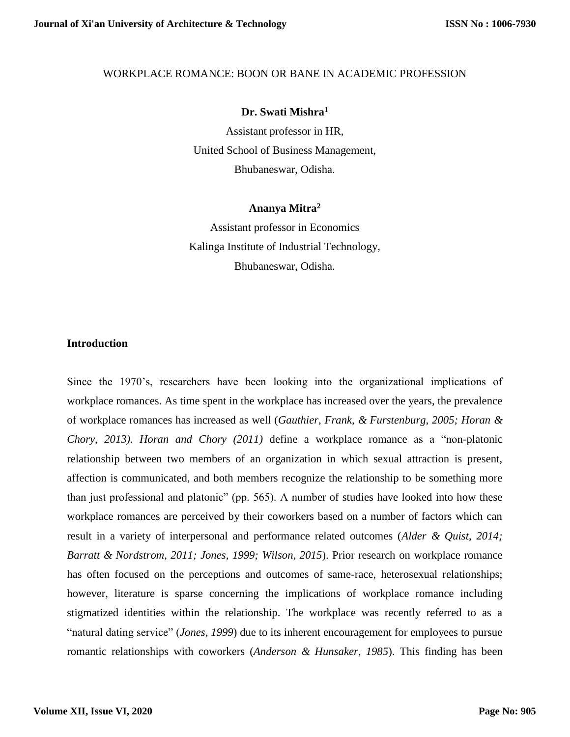#### WORKPLACE ROMANCE: BOON OR BANE IN ACADEMIC PROFESSION

### **Dr. Swati Mishra<sup>1</sup>**

Assistant professor in HR, United School of Business Management, Bhubaneswar, Odisha.

#### **Ananya Mitra<sup>2</sup>**

Assistant professor in Economics Kalinga Institute of Industrial Technology, Bhubaneswar, Odisha.

## **Introduction**

Since the 1970's, researchers have been looking into the organizational implications of workplace romances. As time spent in the workplace has increased over the years, the prevalence of workplace romances has increased as well (*Gauthier, Frank, & Furstenburg, 2005; Horan & Chory, 2013). Horan and Chory (2011)* define a workplace romance as a "non-platonic relationship between two members of an organization in which sexual attraction is present, affection is communicated, and both members recognize the relationship to be something more than just professional and platonic" (pp. 565). A number of studies have looked into how these workplace romances are perceived by their coworkers based on a number of factors which can result in a variety of interpersonal and performance related outcomes (*Alder & Quist, 2014; Barratt & Nordstrom, 2011; Jones, 1999; Wilson, 2015*). Prior research on workplace romance has often focused on the perceptions and outcomes of same-race, heterosexual relationships; however, literature is sparse concerning the implications of workplace romance including stigmatized identities within the relationship. The workplace was recently referred to as a "natural dating service" (*Jones, 1999*) due to its inherent encouragement for employees to pursue romantic relationships with coworkers (*Anderson & Hunsaker, 1985*). This finding has been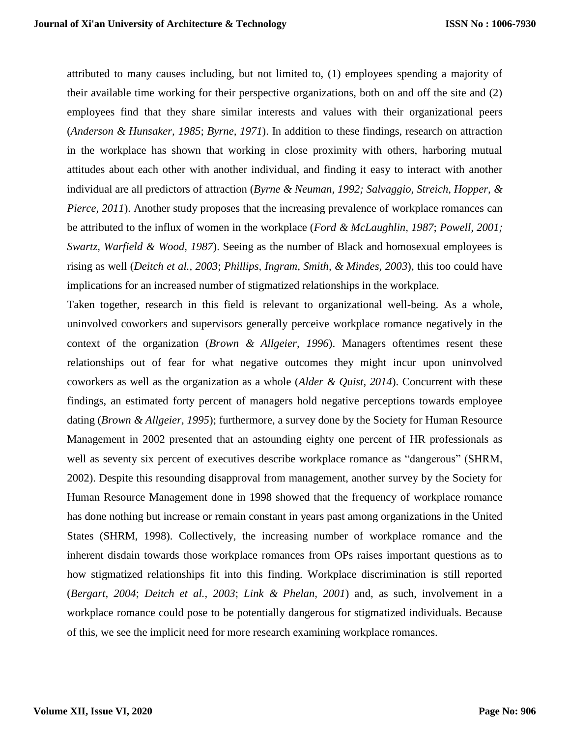attributed to many causes including, but not limited to, (1) employees spending a majority of their available time working for their perspective organizations, both on and off the site and (2) employees find that they share similar interests and values with their organizational peers (*Anderson & Hunsaker, 1985*; *Byrne, 1971*). In addition to these findings, research on attraction in the workplace has shown that working in close proximity with others, harboring mutual attitudes about each other with another individual, and finding it easy to interact with another individual are all predictors of attraction (*Byrne & Neuman, 1992; Salvaggio, Streich, Hopper, & Pierce, 2011*). Another study proposes that the increasing prevalence of workplace romances can be attributed to the influx of women in the workplace (*Ford & McLaughlin, 1987*; *Powell, 2001; Swartz, Warfield & Wood, 1987*). Seeing as the number of Black and homosexual employees is rising as well (*Deitch et al., 2003*; *Phillips, Ingram, Smith, & Mindes, 2003*), this too could have implications for an increased number of stigmatized relationships in the workplace.

Taken together, research in this field is relevant to organizational well-being. As a whole, uninvolved coworkers and supervisors generally perceive workplace romance negatively in the context of the organization (*Brown & Allgeier, 1996*). Managers oftentimes resent these relationships out of fear for what negative outcomes they might incur upon uninvolved coworkers as well as the organization as a whole (*Alder & Quist, 2014*). Concurrent with these findings, an estimated forty percent of managers hold negative perceptions towards employee dating (*Brown & Allgeier, 1995*); furthermore, a survey done by the Society for Human Resource Management in 2002 presented that an astounding eighty one percent of HR professionals as well as seventy six percent of executives describe workplace romance as "dangerous" (SHRM, 2002). Despite this resounding disapproval from management, another survey by the Society for Human Resource Management done in 1998 showed that the frequency of workplace romance has done nothing but increase or remain constant in years past among organizations in the United States (SHRM, 1998). Collectively, the increasing number of workplace romance and the inherent disdain towards those workplace romances from OPs raises important questions as to how stigmatized relationships fit into this finding. Workplace discrimination is still reported (*Bergart, 2004*; *Deitch et al., 2003*; *Link & Phelan, 2001*) and, as such, involvement in a workplace romance could pose to be potentially dangerous for stigmatized individuals. Because of this, we see the implicit need for more research examining workplace romances.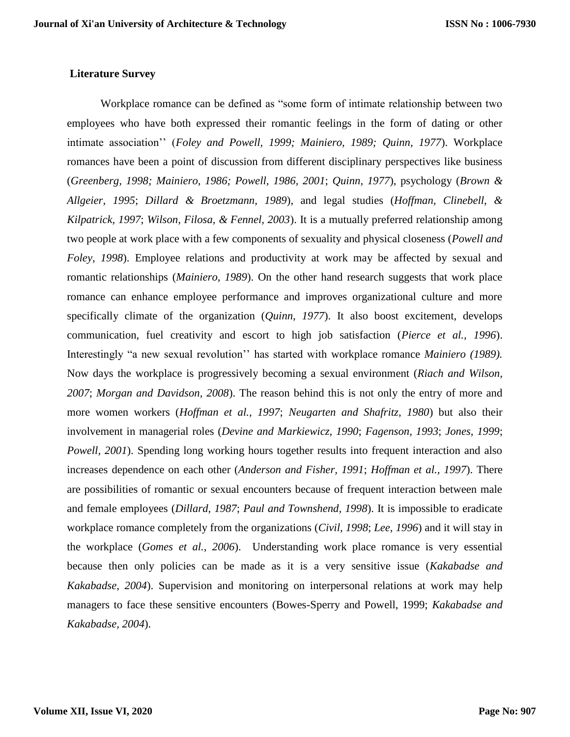## **Literature Survey**

Workplace romance can be defined as "some form of intimate relationship between two employees who have both expressed their romantic feelings in the form of dating or other intimate association'' (*Foley and Powell, 1999; Mainiero, 1989; Quinn, 1977*). Workplace romances have been a point of discussion from different disciplinary perspectives like business (*Greenberg, 1998; Mainiero, 1986; Powell, 1986, 2001*; *Quinn, 1977*), psychology (*Brown & Allgeier, 1995*; *Dillard & Broetzmann, 1989*), and legal studies (*Hoffman, Clinebell, & Kilpatrick, 1997*; *Wilson, Filosa, & Fennel, 2003*). It is a mutually preferred relationship among two people at work place with a few components of sexuality and physical closeness (*Powell and Foley, 1998*). Employee relations and productivity at work may be affected by sexual and romantic relationships (*Mainiero, 1989*). On the other hand research suggests that work place romance can enhance employee performance and improves organizational culture and more specifically climate of the organization (*Quinn, 1977*). It also boost excitement, develops communication, fuel creativity and escort to high job satisfaction (*Pierce et al., 1996*). Interestingly "a new sexual revolution'' has started with workplace romance *Mainiero (1989).* Now days the workplace is progressively becoming a sexual environment (*Riach and Wilson, 2007*; *Morgan and Davidson, 2008*). The reason behind this is not only the entry of more and more women workers (*Hoffman et al., 1997*; *Neugarten and Shafritz, 1980*) but also their involvement in managerial roles (*Devine and Markiewicz, 1990*; *Fagenson, 1993*; *Jones, 1999*; *Powell, 2001*). Spending long working hours together results into frequent interaction and also increases dependence on each other (*Anderson and Fisher, 1991*; *Hoffman et al., 1997*). There are possibilities of romantic or sexual encounters because of frequent interaction between male and female employees (*Dillard, 1987*; *Paul and Townshend, 1998*). It is impossible to eradicate workplace romance completely from the organizations (*Civil, 1998*; *Lee, 1996*) and it will stay in the workplace (*Gomes et al., 2006*). Understanding work place romance is very essential because then only policies can be made as it is a very sensitive issue (*Kakabadse and Kakabadse, 2004*). Supervision and monitoring on interpersonal relations at work may help managers to face these sensitive encounters (Bowes-Sperry and Powell, 1999; *Kakabadse and Kakabadse, 2004*).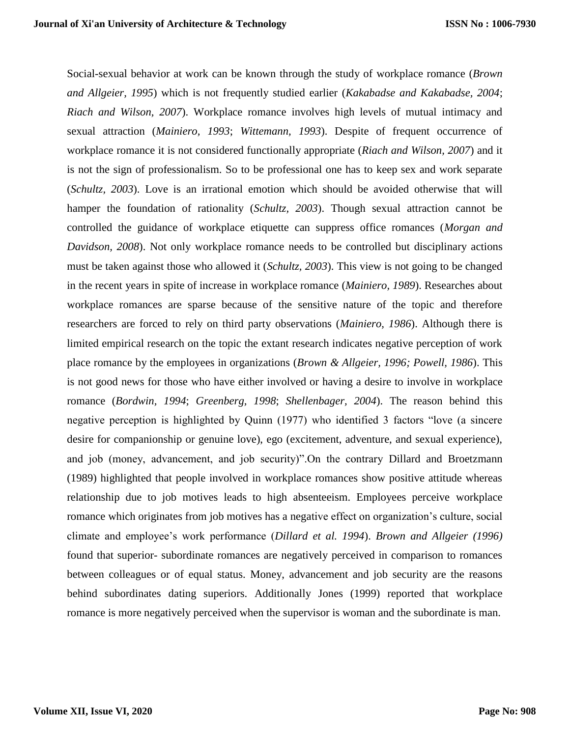Social-sexual behavior at work can be known through the study of workplace romance (*Brown and Allgeier, 1995*) which is not frequently studied earlier (*Kakabadse and Kakabadse, 2004*; *Riach and Wilson, 2007*). Workplace romance involves high levels of mutual intimacy and sexual attraction (*Mainiero, 1993*; *Wittemann, 1993*). Despite of frequent occurrence of workplace romance it is not considered functionally appropriate (*Riach and Wilson, 2007*) and it is not the sign of professionalism. So to be professional one has to keep sex and work separate (*Schultz, 2003*). Love is an irrational emotion which should be avoided otherwise that will hamper the foundation of rationality (*Schultz, 2003*). Though sexual attraction cannot be controlled the guidance of workplace etiquette can suppress office romances (*Morgan and Davidson, 2008*). Not only workplace romance needs to be controlled but disciplinary actions must be taken against those who allowed it (*Schultz, 2003*). This view is not going to be changed in the recent years in spite of increase in workplace romance (*Mainiero, 1989*). Researches about workplace romances are sparse because of the sensitive nature of the topic and therefore researchers are forced to rely on third party observations (*Mainiero, 1986*). Although there is limited empirical research on the topic the extant research indicates negative perception of work place romance by the employees in organizations (*Brown & Allgeier, 1996; Powell, 1986*). This is not good news for those who have either involved or having a desire to involve in workplace romance (*Bordwin, 1994*; *Greenberg, 1998*; *Shellenbager, 2004*). The reason behind this negative perception is highlighted by Quinn (1977) who identified 3 factors "love (a sincere desire for companionship or genuine love), ego (excitement, adventure, and sexual experience), and job (money, advancement, and job security)".On the contrary Dillard and Broetzmann (1989) highlighted that people involved in workplace romances show positive attitude whereas relationship due to job motives leads to high absenteeism. Employees perceive workplace romance which originates from job motives has a negative effect on organization's culture, social climate and employee's work performance (*Dillard et al. 1994*). *Brown and Allgeier (1996)* found that superior- subordinate romances are negatively perceived in comparison to romances between colleagues or of equal status. Money, advancement and job security are the reasons behind subordinates dating superiors. Additionally Jones (1999) reported that workplace romance is more negatively perceived when the supervisor is woman and the subordinate is man.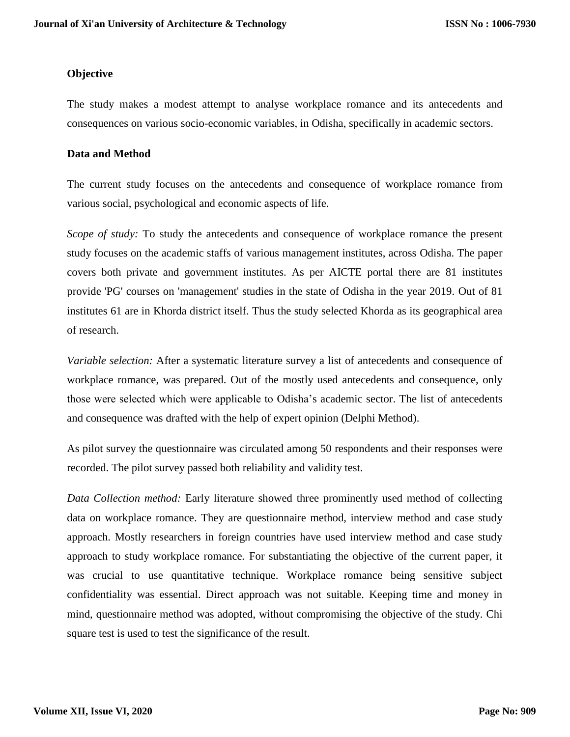### **Objective**

The study makes a modest attempt to analyse workplace romance and its antecedents and consequences on various socio-economic variables, in Odisha, specifically in academic sectors.

### **Data and Method**

The current study focuses on the antecedents and consequence of workplace romance from various social, psychological and economic aspects of life.

*Scope of study:* To study the antecedents and consequence of workplace romance the present study focuses on the academic staffs of various management institutes, across Odisha. The paper covers both private and government institutes. As per AICTE portal there are 81 institutes provide 'PG' courses on 'management' studies in the state of Odisha in the year 2019. Out of 81 institutes 61 are in Khorda district itself. Thus the study selected Khorda as its geographical area of research.

*Variable selection:* After a systematic literature survey a list of antecedents and consequence of workplace romance, was prepared. Out of the mostly used antecedents and consequence, only those were selected which were applicable to Odisha's academic sector. The list of antecedents and consequence was drafted with the help of expert opinion (Delphi Method).

As pilot survey the questionnaire was circulated among 50 respondents and their responses were recorded. The pilot survey passed both reliability and validity test.

*Data Collection method:* Early literature showed three prominently used method of collecting data on workplace romance. They are questionnaire method, interview method and case study approach. Mostly researchers in foreign countries have used interview method and case study approach to study workplace romance*.* For substantiating the objective of the current paper, it was crucial to use quantitative technique. Workplace romance being sensitive subject confidentiality was essential. Direct approach was not suitable. Keeping time and money in mind, questionnaire method was adopted, without compromising the objective of the study. Chi square test is used to test the significance of the result.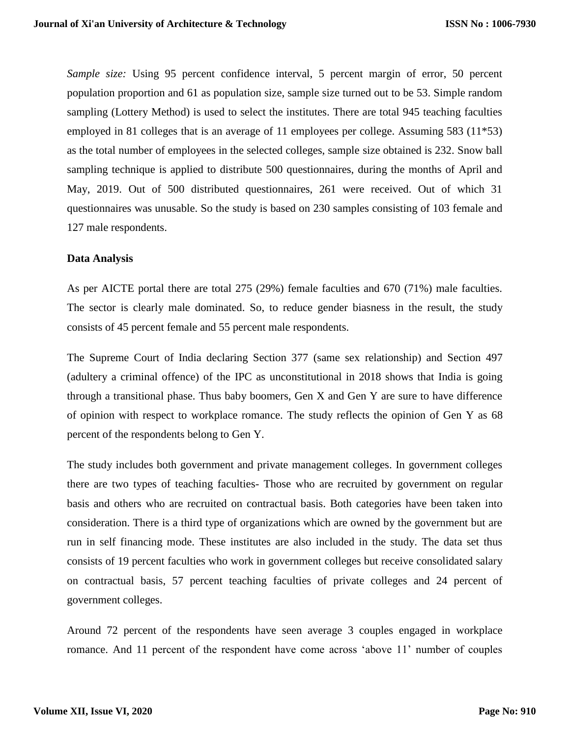*Sample size:* Using 95 percent confidence interval, 5 percent margin of error, 50 percent population proportion and 61 as population size, sample size turned out to be 53. Simple random sampling (Lottery Method) is used to select the institutes. There are total 945 teaching faculties employed in 81 colleges that is an average of 11 employees per college. Assuming 583 (11\*53) as the total number of employees in the selected colleges, sample size obtained is 232. Snow ball sampling technique is applied to distribute 500 questionnaires, during the months of April and May, 2019. Out of 500 distributed questionnaires, 261 were received. Out of which 31 questionnaires was unusable. So the study is based on 230 samples consisting of 103 female and 127 male respondents.

#### **Data Analysis**

As per AICTE portal there are total 275 (29%) female faculties and 670 (71%) male faculties. The sector is clearly male dominated. So, to reduce gender biasness in the result, the study consists of 45 percent female and 55 percent male respondents.

The Supreme Court of India declaring Section 377 (same sex relationship) and Section 497 (adultery a criminal offence) of the IPC as unconstitutional in 2018 shows that India is going through a transitional phase. Thus baby boomers, Gen X and Gen Y are sure to have difference of opinion with respect to workplace romance. The study reflects the opinion of Gen Y as 68 percent of the respondents belong to Gen Y.

The study includes both government and private management colleges. In government colleges there are two types of teaching faculties- Those who are recruited by government on regular basis and others who are recruited on contractual basis. Both categories have been taken into consideration. There is a third type of organizations which are owned by the government but are run in self financing mode. These institutes are also included in the study. The data set thus consists of 19 percent faculties who work in government colleges but receive consolidated salary on contractual basis, 57 percent teaching faculties of private colleges and 24 percent of government colleges.

Around 72 percent of the respondents have seen average 3 couples engaged in workplace romance. And 11 percent of the respondent have come across 'above 11' number of couples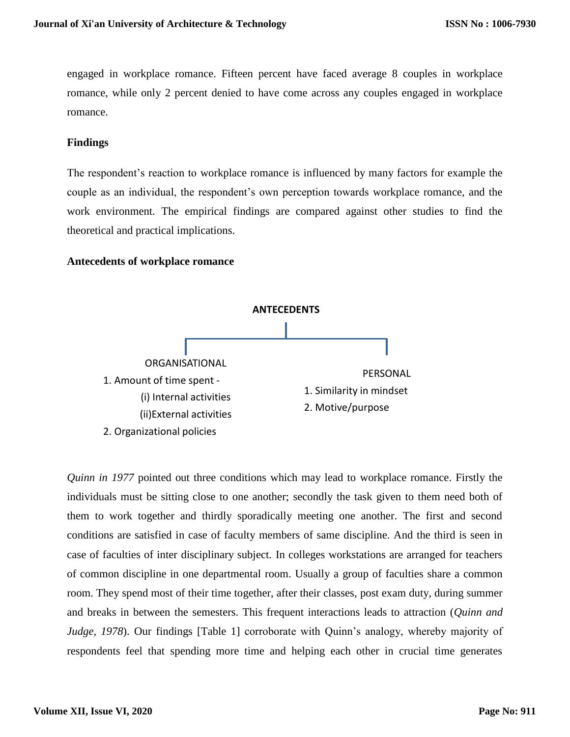engaged in workplace romance. Fifteen percent have faced average 8 couples in workplace romance, while only 2 percent denied to have come across any couples engaged in workplace romance.

## **Findings**

The respondent's reaction to workplace romance is influenced by many factors for example the couple as an individual, the respondent's own perception towards workplace romance, and the work environment. The empirical findings are compared against other studies to find the theoretical and practical implications.

## **Antecedents of workplace romance**



*Quinn in 1977* pointed out three conditions which may lead to workplace romance. Firstly the individuals must be sitting close to one another; secondly the task given to them need both of them to work together and thirdly sporadically meeting one another. The first and second conditions are satisfied in case of faculty members of same discipline. And the third is seen in case of faculties of inter disciplinary subject. In colleges workstations are arranged for teachers of common discipline in one departmental room. Usually a group of faculties share a common room. They spend most of their time together, after their classes, post exam duty, during summer and breaks in between the semesters. This frequent interactions leads to attraction (*Quinn and Judge, 1978*). Our findings [Table 1] corroborate with Quinn's analogy, whereby majority of respondents feel that spending more time and helping each other in crucial time generates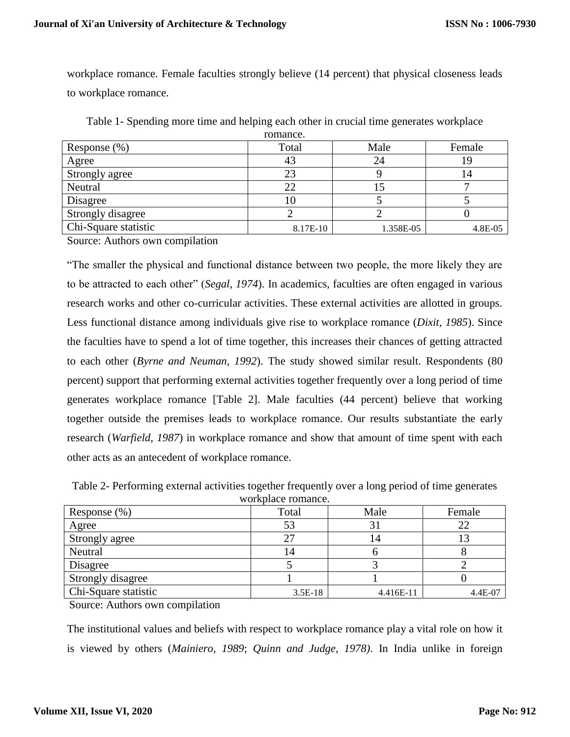workplace romance. Female faculties strongly believe (14 percent) that physical closeness leads to workplace romance.

|                      | TUMMIV.  |           |         |
|----------------------|----------|-----------|---------|
| Response $(\% )$     | Total    | Male      | Female  |
| Agree                | 43       | 24        | 19      |
| Strongly agree       | 23       |           | 14      |
| Neutral              | 22       |           |         |
| Disagree             | 10       |           |         |
| Strongly disagree    |          |           |         |
| Chi-Square statistic | 8.17E-10 | 1.358E-05 | 4.8E-05 |

Table 1- Spending more time and helping each other in crucial time generates workplace romance.

Source: Authors own compilation

"The smaller the physical and functional distance between two people, the more likely they are to be attracted to each other" (*Segal, 1974*). In academics, faculties are often engaged in various research works and other co-curricular activities. These external activities are allotted in groups. Less functional distance among individuals give rise to workplace romance (*Dixit, 1985*). Since the faculties have to spend a lot of time together, this increases their chances of getting attracted to each other (*Byrne and Neuman, 1992*). The study showed similar result. Respondents (80 percent) support that performing external activities together frequently over a long period of time generates workplace romance [Table 2]. Male faculties (44 percent) believe that working together outside the premises leads to workplace romance. Our results substantiate the early research (*Warfield, 1987*) in workplace romance and show that amount of time spent with each other acts as an antecedent of workplace romance.

Table 2- Performing external activities together frequently over a long period of time generates workplace romance.

| ,, <i></i> .         |           |           |         |  |
|----------------------|-----------|-----------|---------|--|
| Response $(\%)$      | Total     | Male      | Female  |  |
| Agree                | 53        | 31        | 22      |  |
| Strongly agree       | 27        | 14        |         |  |
| Neutral              | 14        |           | О       |  |
| Disagree             |           |           |         |  |
| Strongly disagree    |           |           |         |  |
| Chi-Square statistic | $3.5E-18$ | 4.416E-11 | 4.4E-07 |  |

Source: Authors own compilation

The institutional values and beliefs with respect to workplace romance play a vital role on how it is viewed by others (*Mainiero, 1989*; *Quinn and Judge, 1978)*. In India unlike in foreign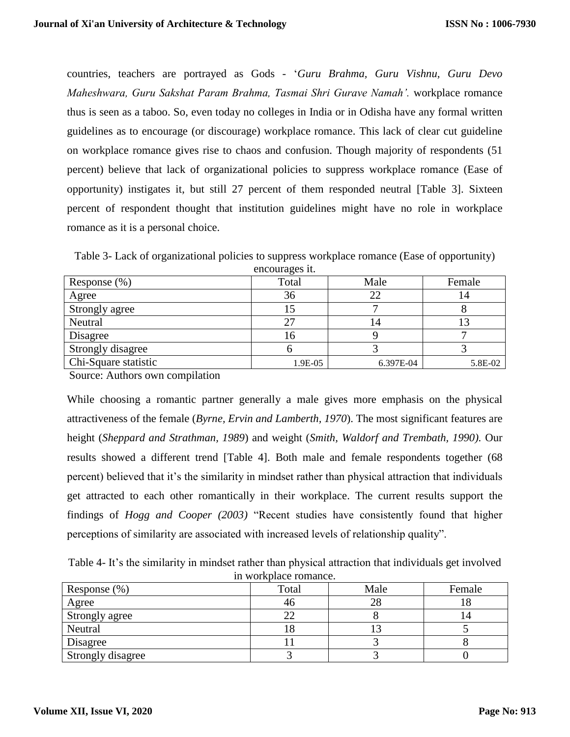countries, teachers are portrayed as Gods - '*Guru Brahma, Guru Vishnu, Guru Devo Maheshwara, Guru Sakshat Param Brahma, Tasmai Shri Gurave Namah'.* workplace romance thus is seen as a taboo. So, even today no colleges in India or in Odisha have any formal written guidelines as to encourage (or discourage) workplace romance. This lack of clear cut guideline on workplace romance gives rise to chaos and confusion. Though majority of respondents (51 percent) believe that lack of organizational policies to suppress workplace romance (Ease of opportunity) instigates it, but still 27 percent of them responded neutral [Table 3]. Sixteen percent of respondent thought that institution guidelines might have no role in workplace romance as it is a personal choice.

Table 3- Lack of organizational policies to suppress workplace romance (Ease of opportunity) encourages it.

|                      | $\alpha$ - |           |         |
|----------------------|------------|-----------|---------|
| Response $(\%)$      | Total      | Male      | Female  |
| Agree                | 36         | 22        | 14      |
| Strongly agree       |            |           |         |
| Neutral              | 27         | 14        | 13      |
| Disagree             | 16         |           |         |
| Strongly disagree    |            |           |         |
| Chi-Square statistic | 1.9E-05    | 6.397E-04 | 5.8E-02 |

Source: Authors own compilation

While choosing a romantic partner generally a male gives more emphasis on the physical attractiveness of the female (*Byrne, Ervin and Lamberth, 1970*). The most significant features are height (*Sheppard and Strathman, 1989*) and weight (*Smith, Waldorf and Trembath, 1990).* Our results showed a different trend [Table 4]. Both male and female respondents together (68 percent) believed that it's the similarity in mindset rather than physical attraction that individuals get attracted to each other romantically in their workplace. The current results support the findings of *Hogg and Cooper (2003)* "Recent studies have consistently found that higher perceptions of similarity are associated with increased levels of relationship quality".

Table 4- It's the similarity in mindset rather than physical attraction that individuals get involved in workplace romance.

| Response $(\%)$   | Total | Male | Female |
|-------------------|-------|------|--------|
| Agree             | 46    | 28   | 10     |
| Strongly agree    | 22    |      |        |
| Neutral           | LΟ    |      |        |
| Disagree          |       |      |        |
| Strongly disagree |       |      |        |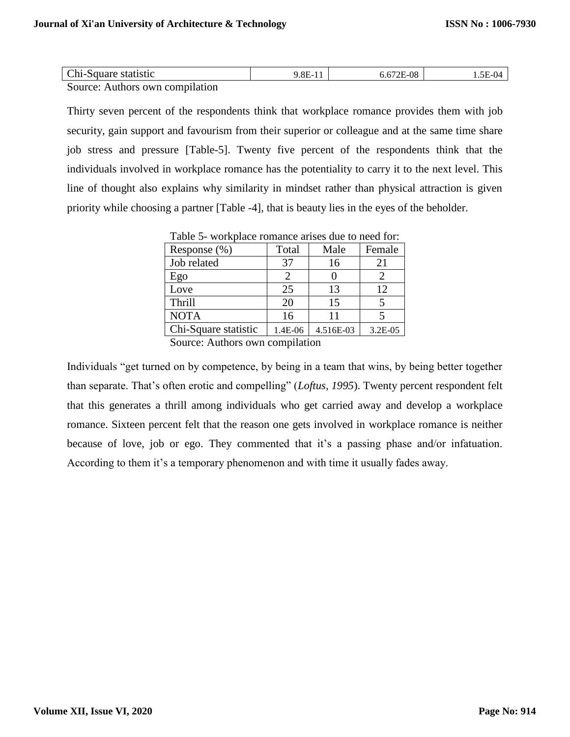| Chi-Square statistic            | $9.8E-11$ | 6.672E-08 | .5E-04 |
|---------------------------------|-----------|-----------|--------|
| Source: Authors own compilation |           |           |        |

Thirty seven percent of the respondents think that workplace romance provides them with job security, gain support and favourism from their superior or colleague and at the same time share job stress and pressure [Table-5]. Twenty five percent of the respondents think that the individuals involved in workplace romance has the potentiality to carry it to the next level. This line of thought also explains why similarity in mindset rather than physical attraction is given priority while choosing a partner [Table -4], that is beauty lies in the eyes of the beholder.

| Response $(\%)$                                                                                                                                                                                                                | Total   | Male      | Female  |  |
|--------------------------------------------------------------------------------------------------------------------------------------------------------------------------------------------------------------------------------|---------|-----------|---------|--|
| Job related                                                                                                                                                                                                                    | 37      | 16        | 21      |  |
| Ego                                                                                                                                                                                                                            |         |           |         |  |
| Love                                                                                                                                                                                                                           | 25      | 13        | 12      |  |
| <b>Thrill</b>                                                                                                                                                                                                                  | 20      | 15        | 5       |  |
| <b>NOTA</b>                                                                                                                                                                                                                    | 16      |           |         |  |
| Chi-Square statistic                                                                                                                                                                                                           | 1.4E-06 | 4.516E-03 | 3.2E-05 |  |
| Correspondent of the community of the contract of the contract of the contract of the contract of the contract of the contract of the contract of the contract of the contract of the contract of the contract of the contract |         |           |         |  |

Table 5- workplace romance arises due to need for:

Source: Authors own compilation

Individuals "get turned on by competence, by being in a team that wins, by being better together than separate. That's often erotic and compelling" (*Loftus, 1995*). Twenty percent respondent felt that this generates a thrill among individuals who get carried away and develop a workplace romance. Sixteen percent felt that the reason one gets involved in workplace romance is neither because of love, job or ego. They commented that it's a passing phase and/or infatuation. According to them it's a temporary phenomenon and with time it usually fades away.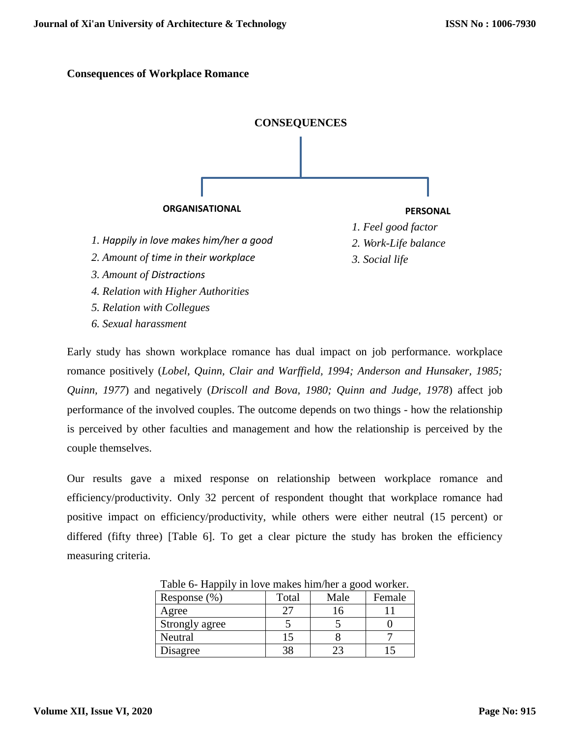### **Consequences of Workplace Romance**



Early study has shown workplace romance has dual impact on job performance. workplace romance positively (*Lobel, Quinn, Clair and Warffield, 1994; Anderson and Hunsaker, 1985; Quinn, 1977*) and negatively (*Driscoll and Bova, 1980; Quinn and Judge, 1978*) affect job performance of the involved couples. The outcome depends on two things - how the relationship is perceived by other faculties and management and how the relationship is perceived by the couple themselves.

Our results gave a mixed response on relationship between workplace romance and efficiency/productivity. Only 32 percent of respondent thought that workplace romance had positive impact on efficiency/productivity, while others were either neutral (15 percent) or differed (fifty three) [Table 6]. To get a clear picture the study has broken the efficiency measuring criteria.

| Table o- Happly in love makes minimer a good worker. |       |      |        |  |
|------------------------------------------------------|-------|------|--------|--|
| Response $(\%)$                                      | Total | Male | Female |  |
| Agree                                                | 27    | 16   |        |  |
| Strongly agree                                       |       |      |        |  |
| Neutral                                              | 15    |      |        |  |
| Disagree                                             | 38    |      |        |  |

Table 6- Happily in love makes him/her a good worker.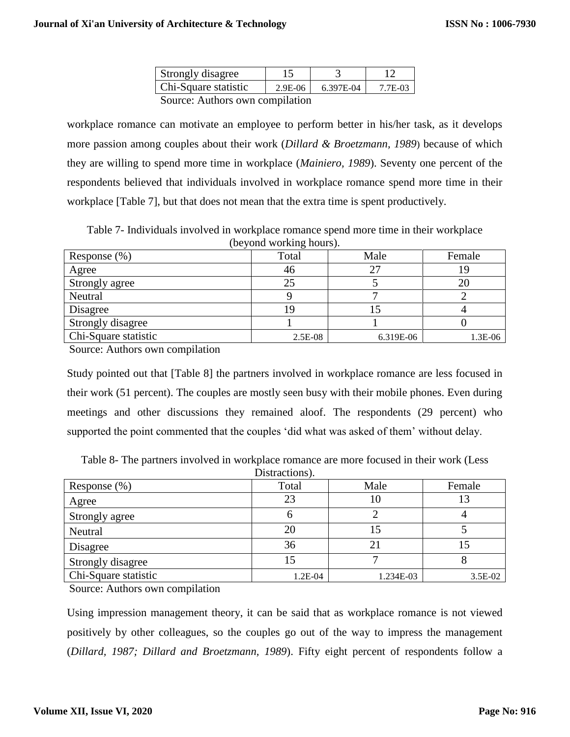| Strongly disagree            |           |           |         |
|------------------------------|-----------|-----------|---------|
| Chi-Square statistic         | $2.9E-06$ | 6.397E-04 | 7.7E-03 |
| Corneau Arthony organization |           |           |         |

Source: Authors own compilation

workplace romance can motivate an employee to perform better in his/her task, as it develops more passion among couples about their work (*Dillard & Broetzmann, 1989*) because of which they are willing to spend more time in workplace (*Mainiero, 1989*). Seventy one percent of the respondents believed that individuals involved in workplace romance spend more time in their workplace [Table 7], but that does not mean that the extra time is spent productively.

Table 7- Individuals involved in workplace romance spend more time in their workplace (beyond working hours).

| Response $(\%)$      | Total     | Male      | Female  |
|----------------------|-----------|-----------|---------|
| Agree                | 46        | 27        |         |
| Strongly agree       | 25        |           |         |
| Neutral              |           |           |         |
| Disagree             |           |           |         |
| Strongly disagree    |           |           |         |
| Chi-Square statistic | $2.5E-08$ | 6.319E-06 | 1.3E-06 |

Source: Authors own compilation

Study pointed out that [Table 8] the partners involved in workplace romance are less focused in their work (51 percent). The couples are mostly seen busy with their mobile phones. Even during meetings and other discussions they remained aloof. The respondents (29 percent) who supported the point commented that the couples 'did what was asked of them' without delay.

Table 8- The partners involved in workplace romance are more focused in their work (Less Distractions).

|                      | $\n  u$ |           |         |
|----------------------|---------|-----------|---------|
| Response $(\%)$      | Total   | Male      | Female  |
| Agree                | 23      | 10        |         |
| Strongly agree       | U       |           |         |
| Neutral              | 20      |           |         |
| Disagree             | 36      | 21        |         |
| Strongly disagree    | 15      |           |         |
| Chi-Square statistic | 1.2E-04 | 1.234E-03 | 3.5E-02 |

Source: Authors own compilation

Using impression management theory, it can be said that as workplace romance is not viewed positively by other colleagues, so the couples go out of the way to impress the management (*Dillard, 1987; Dillard and Broetzmann, 1989*). Fifty eight percent of respondents follow a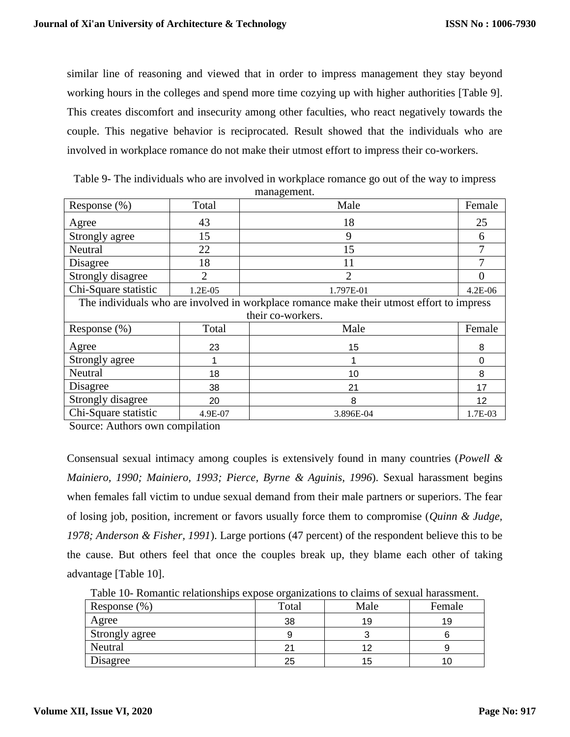similar line of reasoning and viewed that in order to impress management they stay beyond working hours in the colleges and spend more time cozying up with higher authorities [Table 9]. This creates discomfort and insecurity among other faculties, who react negatively towards the couple. This negative behavior is reciprocated. Result showed that the individuals who are involved in workplace romance do not make their utmost effort to impress their co-workers.

| Response (%)                                                                              | Total          | Male              | Female  |  |  |
|-------------------------------------------------------------------------------------------|----------------|-------------------|---------|--|--|
| Agree                                                                                     | 43             | 18                | 25      |  |  |
| Strongly agree                                                                            | 15             | 9                 | 6       |  |  |
| Neutral                                                                                   | 22             | 15                |         |  |  |
| Disagree                                                                                  | 18             | 11                | 7       |  |  |
| Strongly disagree                                                                         | $\overline{2}$ | $\overline{2}$    | 0       |  |  |
| Chi-Square statistic                                                                      | 1.2E-05        | 1.797E-01         | 4.2E-06 |  |  |
| The individuals who are involved in workplace romance make their utmost effort to impress |                |                   |         |  |  |
|                                                                                           |                | their co-workers. |         |  |  |
| Response $(\%)$                                                                           | Total          | Male              | Female  |  |  |
| Agree                                                                                     | 23             | 15                | 8       |  |  |
| Strongly agree                                                                            |                |                   | 0       |  |  |
| Neutral                                                                                   | 18             | 10                | 8       |  |  |
| Disagree                                                                                  | 38             | 21                | 17      |  |  |
| Strongly disagree                                                                         | 20             | 8                 | 12      |  |  |
| Chi-Square statistic                                                                      | 4.9E-07        | 3.896E-04         | 1.7E-03 |  |  |

Table 9- The individuals who are involved in workplace romance go out of the way to impress management.

Source: Authors own compilation

Consensual sexual intimacy among couples is extensively found in many countries (*Powell & Mainiero, 1990; Mainiero, 1993; Pierce, Byrne & Aguinis, 1996*). Sexual harassment begins when females fall victim to undue sexual demand from their male partners or superiors. The fear of losing job, position, increment or favors usually force them to compromise (*Quinn & Judge, 1978; Anderson & Fisher, 1991*). Large portions (47 percent) of the respondent believe this to be the cause. But others feel that once the couples break up, they blame each other of taking advantage [Table 10].

Table 10- Romantic relationships expose organizations to claims of sexual harassment.

| Response $(\% )$ | Total | Male | Female |
|------------------|-------|------|--------|
| Agree            | 38    | 19   | 19     |
| Strongly agree   |       |      |        |
| Neutral          | 21    | 12   |        |
| Disagree         | 25    | 15   |        |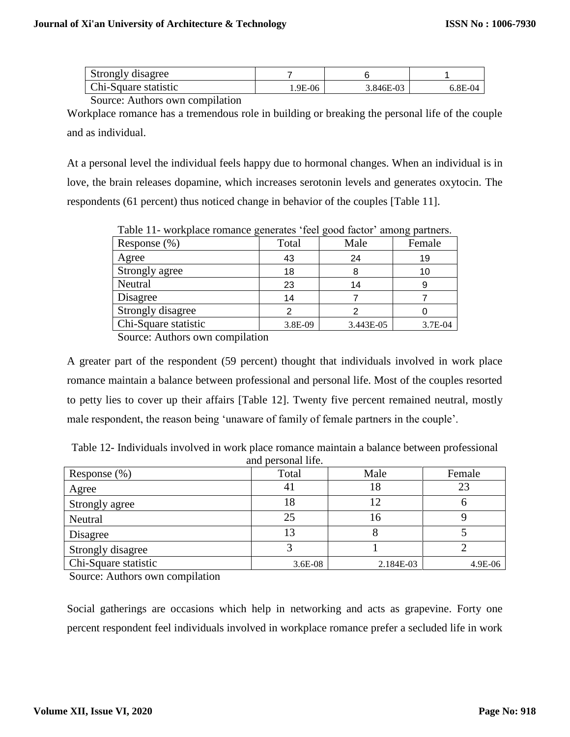| Strongly disagree    |         |             |         |
|----------------------|---------|-------------|---------|
| Chi-Square statistic | 1.9E-06 | $3.846E-03$ | 6.8E-04 |

Source: Authors own compilation

Workplace romance has a tremendous role in building or breaking the personal life of the couple and as individual.

At a personal level the individual feels happy due to hormonal changes. When an individual is in love, the brain releases dopamine, which increases serotonin levels and generates oxytocin. The respondents (61 percent) thus noticed change in behavior of the couples [Table 11].

|                      |         |           | ר - ד   |
|----------------------|---------|-----------|---------|
| Response (%)         | Total   | Male      | Female  |
| Agree                | 43      | 24        | 19      |
| Strongly agree       | 18      | 8         | 10      |
| Neutral              | 23      | 14        |         |
| Disagree             | 14      |           |         |
| Strongly disagree    |         |           |         |
| Chi-Square statistic | 3.8E-09 | 3.443E-05 | 3.7E-04 |

Table 11- workplace romance generates 'feel good factor' among partners.

Source: Authors own compilation

A greater part of the respondent (59 percent) thought that individuals involved in work place romance maintain a balance between professional and personal life. Most of the couples resorted to petty lies to cover up their affairs [Table 12]. Twenty five percent remained neutral, mostly male respondent, the reason being 'unaware of family of female partners in the couple'.

| Table 12- Individuals involved in work place romance maintain a balance between professional |                    |  |
|----------------------------------------------------------------------------------------------|--------------------|--|
|                                                                                              | and personal life. |  |

| Response $(\%)$      | Total     | Male      | Female  |
|----------------------|-----------|-----------|---------|
| Agree                | 4 I       | 18        | 23      |
| Strongly agree       | !8        |           |         |
| Neutral              | 25        | 16        |         |
| Disagree             | 13        |           |         |
| Strongly disagree    |           |           |         |
| Chi-Square statistic | $3.6E-08$ | 2.184E-03 | 4.9E-06 |

Source: Authors own compilation

Social gatherings are occasions which help in networking and acts as grapevine. Forty one percent respondent feel individuals involved in workplace romance prefer a secluded life in work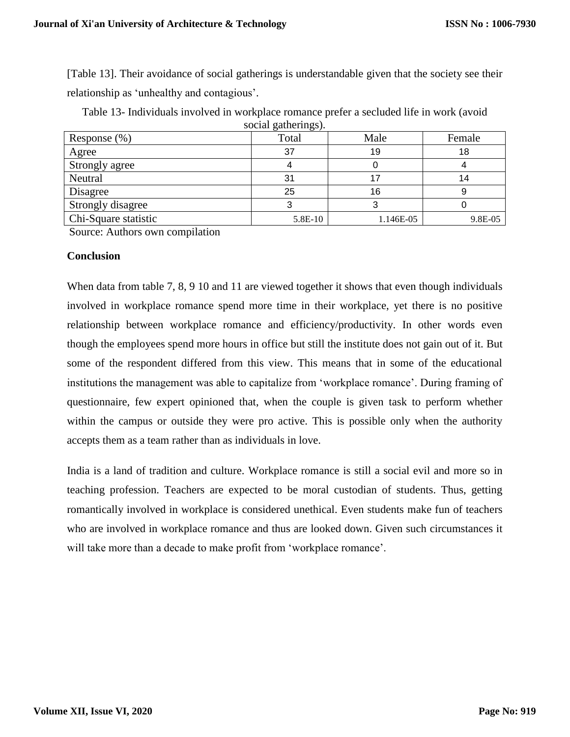[Table 13]. Their avoidance of social gatherings is understandable given that the society see their relationship as 'unhealthy and contagious'.

| Response $(\% )$     | social gatherings).<br>Total | Male      | Female  |
|----------------------|------------------------------|-----------|---------|
| Agree                | 37                           | 19        | 18      |
| Strongly agree       |                              |           |         |
| Neutral              | 31                           | 17        | 14      |
| Disagree             | 25                           | 16        |         |
| Strongly disagree    |                              |           |         |
| Chi-Square statistic | 5.8E-10                      | 1.146E-05 | 9.8E-05 |

Table 13- Individuals involved in workplace romance prefer a secluded life in work (avoid social gatherings).

Source: Authors own compilation

#### **Conclusion**

When data from table 7, 8, 9 10 and 11 are viewed together it shows that even though individuals involved in workplace romance spend more time in their workplace, yet there is no positive relationship between workplace romance and efficiency/productivity. In other words even though the employees spend more hours in office but still the institute does not gain out of it. But some of the respondent differed from this view. This means that in some of the educational institutions the management was able to capitalize from 'workplace romance'. During framing of questionnaire, few expert opinioned that, when the couple is given task to perform whether within the campus or outside they were pro active. This is possible only when the authority accepts them as a team rather than as individuals in love.

India is a land of tradition and culture. Workplace romance is still a social evil and more so in teaching profession. Teachers are expected to be moral custodian of students. Thus, getting romantically involved in workplace is considered unethical. Even students make fun of teachers who are involved in workplace romance and thus are looked down. Given such circumstances it will take more than a decade to make profit from 'workplace romance'.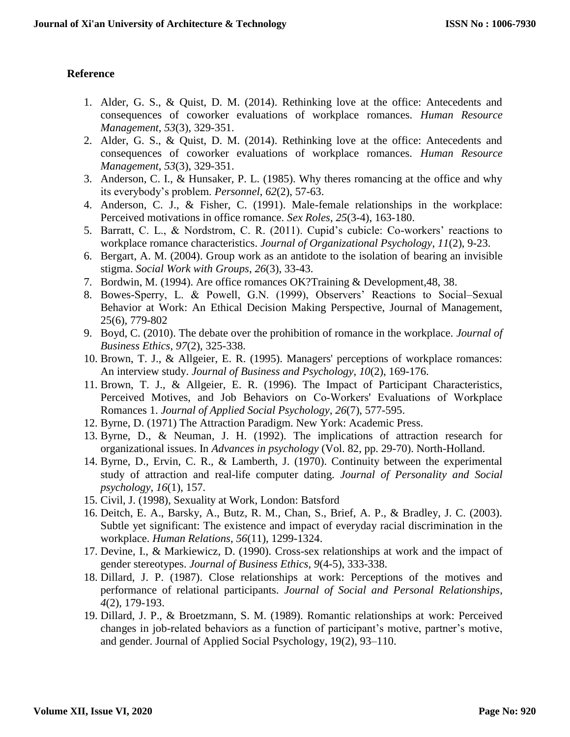# **Reference**

- 1. Alder, G. S., & Quist, D. M. (2014). Rethinking love at the office: Antecedents and consequences of coworker evaluations of workplace romances. *Human Resource Management*, *53*(3), 329-351.
- 2. Alder, G. S., & Quist, D. M. (2014). Rethinking love at the office: Antecedents and consequences of coworker evaluations of workplace romances. *Human Resource Management*, *53*(3), 329-351.
- 3. Anderson, C. I., & Hunsaker, P. L. (1985). Why theres romancing at the office and why its everybody's problem. *Personnel*, *62*(2), 57-63.
- 4. Anderson, C. J., & Fisher, C. (1991). Male-female relationships in the workplace: Perceived motivations in office romance. *Sex Roles*, *25*(3-4), 163-180.
- 5. Barratt, C. L., & Nordstrom, C. R. (2011). Cupid's cubicle: Co-workers' reactions to workplace romance characteristics. *Journal of Organizational Psychology*, *11*(2), 9-23.
- 6. Bergart, A. M. (2004). Group work as an antidote to the isolation of bearing an invisible stigma. *Social Work with Groups*, *26*(3), 33-43.
- 7. Bordwin, M. (1994). Are office romances OK?Training & Development,48, 38.
- 8. Bowes-Sperry, L. & Powell, G.N. (1999), Observers' Reactions to Social–Sexual Behavior at Work: An Ethical Decision Making Perspective, Journal of Management, 25(6), 779-802
- 9. Boyd, C. (2010). The debate over the prohibition of romance in the workplace. *Journal of Business Ethics*, *97*(2), 325-338.
- 10. Brown, T. J., & Allgeier, E. R. (1995). Managers' perceptions of workplace romances: An interview study. *Journal of Business and Psychology*, *10*(2), 169-176.
- 11. Brown, T. J., & Allgeier, E. R. (1996). The Impact of Participant Characteristics, Perceived Motives, and Job Behaviors on Co‐Workers' Evaluations of Workplace Romances 1. *Journal of Applied Social Psychology*, *26*(7), 577-595.
- 12. Byrne, D. (1971) The Attraction Paradigm. New York: Academic Press.
- 13. Byrne, D., & Neuman, J. H. (1992). The implications of attraction research for organizational issues. In *Advances in psychology* (Vol. 82, pp. 29-70). North-Holland.
- 14. Byrne, D., Ervin, C. R., & Lamberth, J. (1970). Continuity between the experimental study of attraction and real-life computer dating. *Journal of Personality and Social psychology*, *16*(1), 157.
- 15. Civil, J. (1998), Sexuality at Work, London: Batsford
- 16. Deitch, E. A., Barsky, A., Butz, R. M., Chan, S., Brief, A. P., & Bradley, J. C. (2003). Subtle yet significant: The existence and impact of everyday racial discrimination in the workplace. *Human Relations*, *56*(11), 1299-1324.
- 17. Devine, I., & Markiewicz, D. (1990). Cross-sex relationships at work and the impact of gender stereotypes. *Journal of Business Ethics*, *9*(4-5), 333-338.
- 18. Dillard, J. P. (1987). Close relationships at work: Perceptions of the motives and performance of relational participants. *Journal of Social and Personal Relationships*, *4*(2), 179-193.
- 19. Dillard, J. P., & Broetzmann, S. M. (1989). Romantic relationships at work: Perceived changes in job-related behaviors as a function of participant's motive, partner's motive, and gender. Journal of Applied Social Psychology, 19(2), 93–110.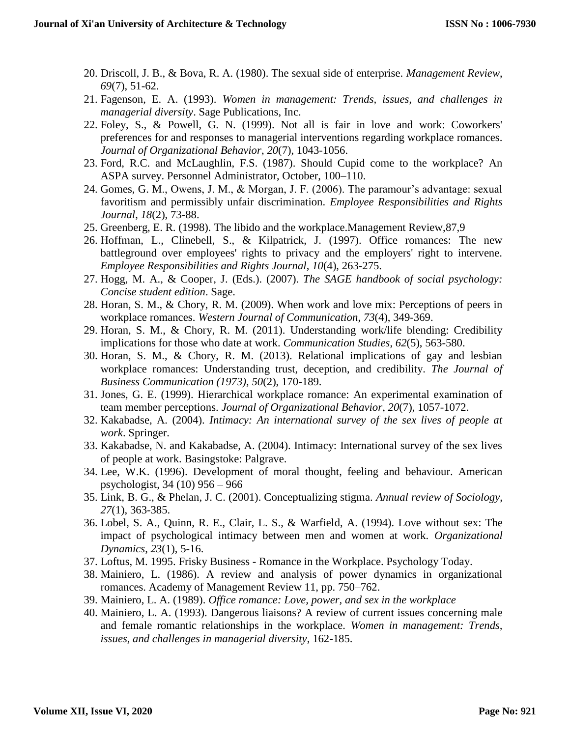- 20. Driscoll, J. B., & Bova, R. A. (1980). The sexual side of enterprise. *Management Review*, *69*(7), 51-62.
- 21. Fagenson, E. A. (1993). *Women in management: Trends, issues, and challenges in managerial diversity*. Sage Publications, Inc.
- 22. Foley, S., & Powell, G. N. (1999). Not all is fair in love and work: Coworkers' preferences for and responses to managerial interventions regarding workplace romances. *Journal of Organizational Behavior*, *20*(7), 1043-1056.
- 23. Ford, R.C. and McLaughlin, F.S. (1987). Should Cupid come to the workplace? An ASPA survey. Personnel Administrator, October, 100–110.
- 24. Gomes, G. M., Owens, J. M., & Morgan, J. F. (2006). The paramour's advantage: sexual favoritism and permissibly unfair discrimination. *Employee Responsibilities and Rights Journal*, *18*(2), 73-88.
- 25. Greenberg, E. R. (1998). The libido and the workplace.Management Review,87,9
- 26. Hoffman, L., Clinebell, S., & Kilpatrick, J. (1997). Office romances: The new battleground over employees' rights to privacy and the employers' right to intervene. *Employee Responsibilities and Rights Journal*, *10*(4), 263-275.
- 27. Hogg, M. A., & Cooper, J. (Eds.). (2007). *The SAGE handbook of social psychology: Concise student edition*. Sage.
- 28. Horan, S. M., & Chory, R. M. (2009). When work and love mix: Perceptions of peers in workplace romances. *Western Journal of Communication*, *73*(4), 349-369.
- 29. Horan, S. M., & Chory, R. M. (2011). Understanding work/life blending: Credibility implications for those who date at work. *Communication Studies*, *62*(5), 563-580.
- 30. Horan, S. M., & Chory, R. M. (2013). Relational implications of gay and lesbian workplace romances: Understanding trust, deception, and credibility. *The Journal of Business Communication (1973)*, *50*(2), 170-189.
- 31. Jones, G. E. (1999). Hierarchical workplace romance: An experimental examination of team member perceptions. *Journal of Organizational Behavior*, *20*(7), 1057-1072.
- 32. Kakabadse, A. (2004). *Intimacy: An international survey of the sex lives of people at work*. Springer.
- 33. Kakabadse, N. and Kakabadse, A. (2004). Intimacy: International survey of the sex lives of people at work. Basingstoke: Palgrave.
- 34. Lee, W.K. (1996). Development of moral thought, feeling and behaviour. American psychologist, 34 (10) 956 – 966
- 35. Link, B. G., & Phelan, J. C. (2001). Conceptualizing stigma. *Annual review of Sociology*, *27*(1), 363-385.
- 36. Lobel, S. A., Quinn, R. E., Clair, L. S., & Warfield, A. (1994). Love without sex: The impact of psychological intimacy between men and women at work. *Organizational Dynamics*, *23*(1), 5-16.
- 37. Loftus, M. 1995. Frisky Business Romance in the Workplace. Psychology Today.
- 38. Mainiero, L. (1986). A review and analysis of power dynamics in organizational romances. Academy of Management Review 11, pp. 750–762.
- 39. Mainiero, L. A. (1989). *Office romance: Love, power, and sex in the workplace*
- 40. Mainiero, L. A. (1993). Dangerous liaisons? A review of current issues concerning male and female romantic relationships in the workplace. *Women in management: Trends, issues, and challenges in managerial diversity*, 162-185.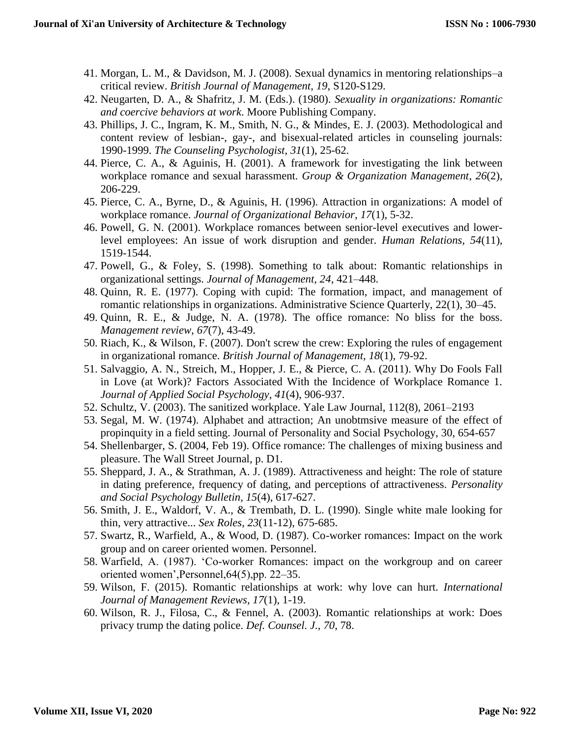- 41. Morgan, L. M., & Davidson, M. J. (2008). Sexual dynamics in mentoring relationships–a critical review. *British Journal of Management*, *19*, S120-S129.
- 42. Neugarten, D. A., & Shafritz, J. M. (Eds.). (1980). *Sexuality in organizations: Romantic and coercive behaviors at work*. Moore Publishing Company.
- 43. Phillips, J. C., Ingram, K. M., Smith, N. G., & Mindes, E. J. (2003). Methodological and content review of lesbian-, gay-, and bisexual-related articles in counseling journals: 1990-1999. *The Counseling Psychologist*, *31*(1), 25-62.
- 44. Pierce, C. A., & Aguinis, H. (2001). A framework for investigating the link between workplace romance and sexual harassment. *Group & Organization Management*, *26*(2), 206-229.
- 45. Pierce, C. A., Byrne, D., & Aguinis, H. (1996). Attraction in organizations: A model of workplace romance. *Journal of Organizational Behavior*, *17*(1), 5-32.
- 46. Powell, G. N. (2001). Workplace romances between senior-level executives and lowerlevel employees: An issue of work disruption and gender. *Human Relations*, *54*(11), 1519-1544.
- 47. Powell, G., & Foley, S. (1998). Something to talk about: Romantic relationships in organizational settings. *Journal of Management, 24*, 421–448.
- 48. Quinn, R. E. (1977). Coping with cupid: The formation, impact, and management of romantic relationships in organizations. Administrative Science Quarterly, 22(1), 30–45.
- 49. Quinn, R. E., & Judge, N. A. (1978). The office romance: No bliss for the boss. *Management review*, *67*(7), 43-49.
- 50. Riach, K., & Wilson, F. (2007). Don't screw the crew: Exploring the rules of engagement in organizational romance. *British Journal of Management*, *18*(1), 79-92.
- 51. Salvaggio, A. N., Streich, M., Hopper, J. E., & Pierce, C. A. (2011). Why Do Fools Fall in Love (at Work)? Factors Associated With the Incidence of Workplace Romance 1. *Journal of Applied Social Psychology*, *41*(4), 906-937.
- 52. Schultz, V. (2003). The sanitized workplace. Yale Law Journal, 112(8), 2061–2193
- 53. Segal, M. W. (1974). Alphabet and attraction; An unobtmsive measure of the effect of propinquity in a field setting. Journal of Personality and Social Psychology, 30, 654-657
- 54. Shellenbarger, S. (2004, Feb 19). Office romance: The challenges of mixing business and pleasure. The Wall Street Journal, p. D1.
- 55. Sheppard, J. A., & Strathman, A. J. (1989). Attractiveness and height: The role of stature in dating preference, frequency of dating, and perceptions of attractiveness. *Personality and Social Psychology Bulletin, 15*(4), 617-627.
- 56. Smith, J. E., Waldorf, V. A., & Trembath, D. L. (1990). Single white male looking for thin, very attractive... *Sex Roles*, *23*(11-12), 675-685.
- 57. Swartz, R., Warfield, A., & Wood, D. (1987). Co-worker romances: Impact on the work group and on career oriented women. Personnel.
- 58. Warfield, A. (1987). 'Co-worker Romances: impact on the workgroup and on career oriented women',Personnel,64(5),pp. 22–35.
- 59. Wilson, F. (2015). Romantic relationships at work: why love can hurt. *International Journal of Management Reviews*, *17*(1), 1-19.
- 60. Wilson, R. J., Filosa, C., & Fennel, A. (2003). Romantic relationships at work: Does privacy trump the dating police. *Def. Counsel. J.*, *70*, 78.